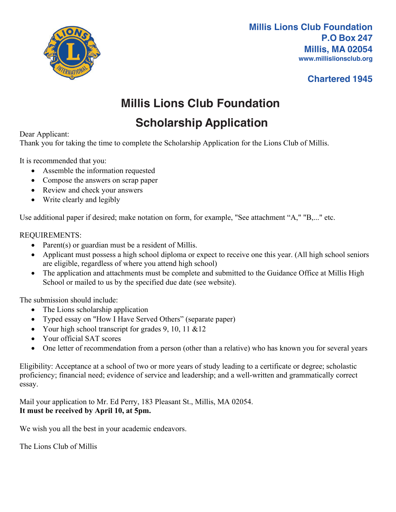

**Millis Lions Club Foundation P.O Box 247 Millis, MA 02054 www.millislionsclub.org**

### **Chartered 1945**

# **Millis Lions Club Foundation**

## **Scholarship Application**

#### Dear Applicant:

Thank you for taking the time to complete the Scholarship Application for the Lions Club of Millis.

It is recommended that you:

- Assemble the information requested
- Compose the answers on scrap paper
- Review and check your answers
- Write clearly and legibly

Use additional paper if desired; make notation on form, for example, "See attachment "A," "B,..." etc.

#### REQUIREMENTS:

- Parent(s) or guardian must be a resident of Millis.
- Applicant must possess a high school diploma or expect to receive one this year. (All high school seniors are eligible, regardless of where you attend high school)
- The application and attachments must be complete and submitted to the Guidance Office at Millis High School or mailed to us by the specified due date (see website).

The submission should include:

- The Lions scholarship application
- Typed essay on "How I Have Served Others" (separate paper)
- Your high school transcript for grades 9, 10, 11  $&12$
- Your official SAT scores
- One letter of recommendation from a person (other than a relative) who has known you for several years

Eligibility: Acceptance at a school of two or more years of study leading to a certificate or degree; scholastic proficiency; financial need; evidence of service and leadership; and a well-written and grammatically correct essay.

Mail your application to Mr. Ed Perry, 183 Pleasant St., Millis, MA 02054. **It must be received by April 10, at 5pm.**

We wish you all the best in your academic endeavors.

The Lions Club of Millis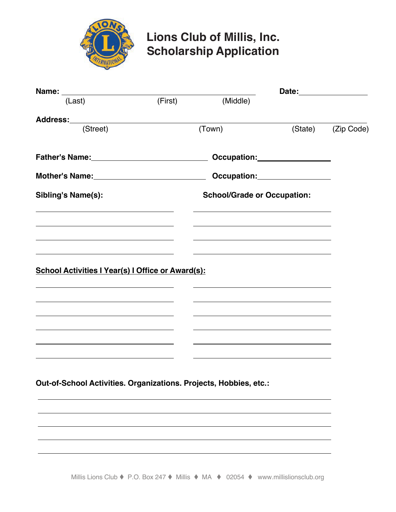

## **Lions Club of Millis, Inc. Scholarship Application**

| (First) | (Middle)                           |                                                                                                |                                                                                                                                                                                                                         |
|---------|------------------------------------|------------------------------------------------------------------------------------------------|-------------------------------------------------------------------------------------------------------------------------------------------------------------------------------------------------------------------------|
|         |                                    |                                                                                                |                                                                                                                                                                                                                         |
| (Town)  |                                    |                                                                                                | (Zip Code)                                                                                                                                                                                                              |
|         |                                    |                                                                                                |                                                                                                                                                                                                                         |
|         |                                    |                                                                                                |                                                                                                                                                                                                                         |
|         | <b>School/Grade or Occupation:</b> |                                                                                                |                                                                                                                                                                                                                         |
|         |                                    |                                                                                                |                                                                                                                                                                                                                         |
|         |                                    |                                                                                                |                                                                                                                                                                                                                         |
|         |                                    |                                                                                                |                                                                                                                                                                                                                         |
|         |                                    |                                                                                                |                                                                                                                                                                                                                         |
|         |                                    |                                                                                                |                                                                                                                                                                                                                         |
|         |                                    |                                                                                                |                                                                                                                                                                                                                         |
|         |                                    |                                                                                                |                                                                                                                                                                                                                         |
|         |                                    |                                                                                                |                                                                                                                                                                                                                         |
|         |                                    |                                                                                                |                                                                                                                                                                                                                         |
|         |                                    |                                                                                                |                                                                                                                                                                                                                         |
|         |                                    |                                                                                                |                                                                                                                                                                                                                         |
|         |                                    |                                                                                                |                                                                                                                                                                                                                         |
|         |                                    |                                                                                                |                                                                                                                                                                                                                         |
|         |                                    | Father's Name: 1990 1991 1992 1994<br><b>School Activities I Year(s) I Office or Award(s):</b> | Date:________________<br>(State)<br>Mother's Name: Manneled and Discover Control of Compation: Mother's Name: Manneled and Discover Compatible and<br>Out-of-School Activities. Organizations. Projects, Hobbies, etc.: |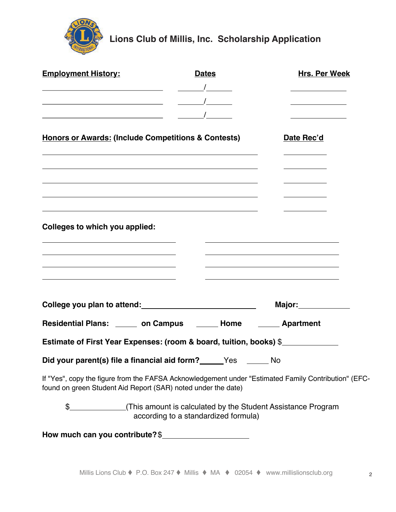

**Lions Club of Millis, Inc. Scholarship Application**

| <b>Employment History:</b>                                         |                                                                                                                                                                                                                                                                                                                                                                                                                      | <b>Dates</b>       | <b>Hrs. Per Week</b>                                                                                 |  |  |
|--------------------------------------------------------------------|----------------------------------------------------------------------------------------------------------------------------------------------------------------------------------------------------------------------------------------------------------------------------------------------------------------------------------------------------------------------------------------------------------------------|--------------------|------------------------------------------------------------------------------------------------------|--|--|
|                                                                    | $\frac{1}{\sqrt{1-\frac{1}{2}}\sqrt{1-\frac{1}{2}}\sqrt{1-\frac{1}{2}}\sqrt{1-\frac{1}{2}}\sqrt{1-\frac{1}{2}}\sqrt{1-\frac{1}{2}}\sqrt{1-\frac{1}{2}}\sqrt{1-\frac{1}{2}}\sqrt{1-\frac{1}{2}}\sqrt{1-\frac{1}{2}}\sqrt{1-\frac{1}{2}}\sqrt{1-\frac{1}{2}}\sqrt{1-\frac{1}{2}}\sqrt{1-\frac{1}{2}}\sqrt{1-\frac{1}{2}}\sqrt{1-\frac{1}{2}}\sqrt{1-\frac{1}{2}}\sqrt{1-\frac{1}{2}}\sqrt{1-\frac{1}{2}}\sqrt{1-\frac$ |                    |                                                                                                      |  |  |
| <u> 1980 - Johann Barn, fransk politik (f. 1980)</u>               | $\frac{1}{\sqrt{1-\frac{1}{2}}\sqrt{1-\frac{1}{2}}\sqrt{1-\frac{1}{2}}\sqrt{1-\frac{1}{2}}\sqrt{1-\frac{1}{2}}\sqrt{1-\frac{1}{2}}\sqrt{1-\frac{1}{2}}\sqrt{1-\frac{1}{2}}\sqrt{1-\frac{1}{2}}\sqrt{1-\frac{1}{2}}\sqrt{1-\frac{1}{2}}\sqrt{1-\frac{1}{2}}\sqrt{1-\frac{1}{2}}\sqrt{1-\frac{1}{2}}\sqrt{1-\frac{1}{2}}\sqrt{1-\frac{1}{2}}\sqrt{1-\frac{1}{2}}\sqrt{1-\frac{1}{2}}\sqrt{1-\frac{1}{2}}\sqrt{1-\frac$ |                    |                                                                                                      |  |  |
| <u> 1989 - Johann Barnett, fransk politik (d. 1989)</u>            |                                                                                                                                                                                                                                                                                                                                                                                                                      |                    |                                                                                                      |  |  |
| <b>Honors or Awards: (Include Competitions &amp; Contests)</b>     |                                                                                                                                                                                                                                                                                                                                                                                                                      |                    | Date Rec'd                                                                                           |  |  |
|                                                                    | the control of the control of the control of the control of the control of the control of the control of the control of the control of the control of the control of the control of the control of the control of the control                                                                                                                                                                                        |                    |                                                                                                      |  |  |
|                                                                    |                                                                                                                                                                                                                                                                                                                                                                                                                      |                    |                                                                                                      |  |  |
| Colleges to which you applied:                                     |                                                                                                                                                                                                                                                                                                                                                                                                                      |                    |                                                                                                      |  |  |
|                                                                    |                                                                                                                                                                                                                                                                                                                                                                                                                      |                    |                                                                                                      |  |  |
|                                                                    |                                                                                                                                                                                                                                                                                                                                                                                                                      |                    |                                                                                                      |  |  |
| College you plan to attend:<br><u> college</u> you plan to attend: |                                                                                                                                                                                                                                                                                                                                                                                                                      | Major:____________ |                                                                                                      |  |  |
| Residential Plans: ______ on Campus ______ Home ______ Apartment   |                                                                                                                                                                                                                                                                                                                                                                                                                      |                    |                                                                                                      |  |  |
| Estimate of First Year Expenses: (room & board, tuition, books) \$ |                                                                                                                                                                                                                                                                                                                                                                                                                      |                    |                                                                                                      |  |  |
| Did your parent(s) file a financial aid form? _____Yes ______ No   |                                                                                                                                                                                                                                                                                                                                                                                                                      |                    |                                                                                                      |  |  |
| found on green Student Aid Report (SAR) noted under the date)      |                                                                                                                                                                                                                                                                                                                                                                                                                      |                    | If "Yes", copy the figure from the FAFSA Acknowledgement under "Estimated Family Contribution" (EFC- |  |  |
|                                                                    | according to a standardized formula)                                                                                                                                                                                                                                                                                                                                                                                 |                    | \$_______________(This amount is calculated by the Student Assistance Program                        |  |  |
| How much can you contribute? \$                                    |                                                                                                                                                                                                                                                                                                                                                                                                                      |                    |                                                                                                      |  |  |